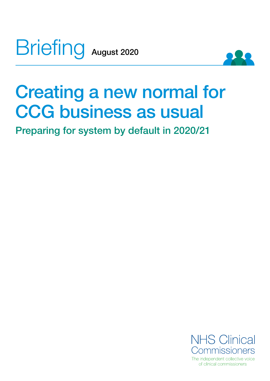Briefing August 2020



# Creating a new normal for CCG business as usual

Preparing for system by default in 2020/21

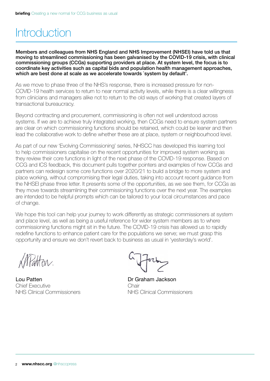## Introduction

Members and colleagues from NHS England and NHS Improvement (NHSEI) have told us that moving to streamlined commissioning has been galvanised by the COVID-19 crisis, with clinical commissioning groups (CCGs) supporting providers at place. At system level, the focus is to coordinate key activities such as capital bids and population health management approaches, which are best done at scale as we accelerate towards `system by default'.

As we move to phase three of the NHS's response, there is increased pressure for non-COVID-19 health services to return to near normal activity levels, while there is a clear willingness from clinicians and managers alike not to return to the old ways of working that created layers of transactional bureaucracy.

Beyond contracting and procurement, commissioning is often not well understood across systems. If we are to achieve truly integrated working, then CCGs need to ensure system partners are clear on which commissioning functions should be retained, which could be leaner and then lead the collaborative work to define whether these are at place, system or neighbourhood level.

As part of our new 'Evolving Commissioning' series, NHSCC has developed this learning tool to help commissioners capitalise on the recent opportunities for improved system working as they review their core functions in light of the next phase of the COVID-19 response. Based on CCG and ICS feedback, this document pulls together pointers and examples of how CCGs and partners can redesign some core functions over 2020/21 to build a bridge to more system and place working, without compromising their legal duties, taking into account recent guidance from the NHSEI phase three letter. It presents some of the opportunities, as we see them, for CCGs as they move towards streamlining their commissioning functions over the next year. The examples are intended to be helpful prompts which can be tailored to your local circumstances and pace of change.

We hope this tool can help your journey to work differently as strategic commissioners at system and place level, as well as being a useful reference for wider system members as to where commissioning functions might sit in the future. The COVID-19 crisis has allowed us to rapidly redefine functions to enhance patient care for the populations we serve; we must grasp this opportunity and ensure we don't revert back to business as usual in 'yesterday's world'.

atten.

Lou Patten Chief Executive NHS Clinical Commissioners

Dr Graham Jackson Chair NHS Clinical Commissioners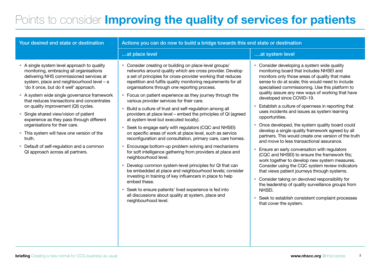## Points to consider *Improving the quality of services for patients*

| Your desired end state or destination                                                                                                                                                                                                                                                                                                                                                                                                                                                                                                                                                                                         | Actions you can do now to build a bridge towards this end state or destination                                                                                                                                                                                                                                                                                                                                                                                                                                                                                                                                                                                                                                                                                                                                                                                                                                                                                                                                                                                                                                                                                                                                                                                                                         |                                                                                                                                                                                                                                                                                                                                                                                                                                                                                                                                                                                                                                                                                                                                                                                                                                                                                                                                                                                                                                                                                                                        |  |
|-------------------------------------------------------------------------------------------------------------------------------------------------------------------------------------------------------------------------------------------------------------------------------------------------------------------------------------------------------------------------------------------------------------------------------------------------------------------------------------------------------------------------------------------------------------------------------------------------------------------------------|--------------------------------------------------------------------------------------------------------------------------------------------------------------------------------------------------------------------------------------------------------------------------------------------------------------------------------------------------------------------------------------------------------------------------------------------------------------------------------------------------------------------------------------------------------------------------------------------------------------------------------------------------------------------------------------------------------------------------------------------------------------------------------------------------------------------------------------------------------------------------------------------------------------------------------------------------------------------------------------------------------------------------------------------------------------------------------------------------------------------------------------------------------------------------------------------------------------------------------------------------------------------------------------------------------|------------------------------------------------------------------------------------------------------------------------------------------------------------------------------------------------------------------------------------------------------------------------------------------------------------------------------------------------------------------------------------------------------------------------------------------------------------------------------------------------------------------------------------------------------------------------------------------------------------------------------------------------------------------------------------------------------------------------------------------------------------------------------------------------------------------------------------------------------------------------------------------------------------------------------------------------------------------------------------------------------------------------------------------------------------------------------------------------------------------------|--|
|                                                                                                                                                                                                                                                                                                                                                                                                                                                                                                                                                                                                                               | at place level                                                                                                                                                                                                                                                                                                                                                                                                                                                                                                                                                                                                                                                                                                                                                                                                                                                                                                                                                                                                                                                                                                                                                                                                                                                                                         | at system level                                                                                                                                                                                                                                                                                                                                                                                                                                                                                                                                                                                                                                                                                                                                                                                                                                                                                                                                                                                                                                                                                                        |  |
| • A single system level approach to quality<br>monitoring, embracing all organisations<br>delivering NHS commissioned services at<br>system, place and neighbourhood level - a<br>'do it once, but do it well' approach.<br>• A system wide single governance framework<br>that reduces transactions and concentrates<br>on quality improvement (QI) cycles.<br>• Single shared view/vision of patient<br>experience as they pass through different<br>organisations for their care.<br>• This system will have one version of the<br>truth.<br>• Default of self-regulation and a common<br>QI approach across all partners. | • Consider creating or building on place-level groups/<br>networks around quality which are cross provider. Develop<br>a set of principles for cross-provider working that reduces<br>repetition and fulfils quality monitoring requirements for all<br>organisations through one reporting process.<br>• Focus on patient experience as they journey through the<br>various provider services for their care.<br>Build a culture of trust and self-regulation among all<br>$\bullet$<br>providers at place level - embed the principles of QI (agreed<br>at system level but executed locally).<br>Seek to engage early with regulators (CQC and NHSEI)<br>$\bullet$<br>on specific areas of work at place level, such as service<br>reconfiguration and consultation, primary care, care homes.<br>Encourage bottom-up problem solving and mechanisms<br>for soft intelligence gathering from providers at place and<br>neighbourhood level.<br>Develop common system-level principles for QI that can<br>$\bullet$<br>be embedded at place and neighbourhood levels; consider<br>investing in training of key influencers in place to help<br>embed these.<br>• Seek to ensure patients' lived experience is fed into<br>all discussions about quality at system, place and<br>neighbourhood level. | Consider developing a system wide quality<br>monitoring board that includes NHSEI and<br>monitors only those areas of quality that make<br>sense to do at scale; this would need to include<br>specialised commissioning. Use this platform to<br>quality assure any new ways of working that have<br>developed since COVID-19.<br>Establish a culture of openness in reporting that<br>uses incidents and issues as system learning<br>opportunities.<br>Once developed, the system quality board could<br>develop a single quality framework agreed by all<br>partners. This would create one version of the truth<br>and move to less transactional assurance.<br>Ensure an early conversation with regulators<br>(CQC and NHSEI) to ensure the framework fits;<br>work together to develop new system measures.<br>Consider using the CQC system review indicators<br>that views patient journeys through systems.<br>Consider taking on devolved responsibility for<br>the leadership of quality surveillance groups from<br>NHSEI.<br>Seek to establish consistent complaint processes<br>that cover the system. |  |
|                                                                                                                                                                                                                                                                                                                                                                                                                                                                                                                                                                                                                               |                                                                                                                                                                                                                                                                                                                                                                                                                                                                                                                                                                                                                                                                                                                                                                                                                                                                                                                                                                                                                                                                                                                                                                                                                                                                                                        |                                                                                                                                                                                                                                                                                                                                                                                                                                                                                                                                                                                                                                                                                                                                                                                                                                                                                                                                                                                                                                                                                                                        |  |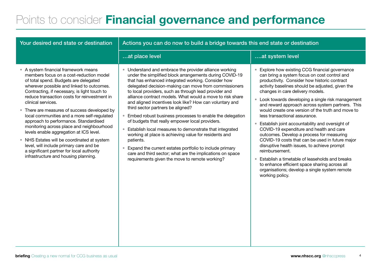## Points to consider Financial governance and performance

| Your desired end state or destination                                                                                                                                                                                                                                                                                                                                                                                                                                                                                                                                                                                                                                                                      | Actions you can do now to build a bridge towards this end state or destination                                                                                                                                                                                                                                                                                                                                                                                                                                                                                                                                                                                                                                                                                                                                                                                                       |                                                                                                                                                                                                                                                                                                                                                                                                                                                                                                                                                                                                                                                                                                                                                                                                                                                                            |  |
|------------------------------------------------------------------------------------------------------------------------------------------------------------------------------------------------------------------------------------------------------------------------------------------------------------------------------------------------------------------------------------------------------------------------------------------------------------------------------------------------------------------------------------------------------------------------------------------------------------------------------------------------------------------------------------------------------------|--------------------------------------------------------------------------------------------------------------------------------------------------------------------------------------------------------------------------------------------------------------------------------------------------------------------------------------------------------------------------------------------------------------------------------------------------------------------------------------------------------------------------------------------------------------------------------------------------------------------------------------------------------------------------------------------------------------------------------------------------------------------------------------------------------------------------------------------------------------------------------------|----------------------------------------------------------------------------------------------------------------------------------------------------------------------------------------------------------------------------------------------------------------------------------------------------------------------------------------------------------------------------------------------------------------------------------------------------------------------------------------------------------------------------------------------------------------------------------------------------------------------------------------------------------------------------------------------------------------------------------------------------------------------------------------------------------------------------------------------------------------------------|--|
|                                                                                                                                                                                                                                                                                                                                                                                                                                                                                                                                                                                                                                                                                                            | at place level                                                                                                                                                                                                                                                                                                                                                                                                                                                                                                                                                                                                                                                                                                                                                                                                                                                                       | at system level                                                                                                                                                                                                                                                                                                                                                                                                                                                                                                                                                                                                                                                                                                                                                                                                                                                            |  |
| • A system financial framework means<br>members focus on a cost-reduction model<br>of total spend. Budgets are delegated<br>wherever possible and linked to outcomes.<br>Contracting, if necessary, is light touch to<br>reduce transaction costs for reinvestment in<br>clinical services.<br>• There are measures of success developed by<br>local communities and a more self-regulated<br>approach to performance. Standardised<br>monitoring across place and neighbourhood<br>levels enable aggregation at ICS level.<br>• NHS Estates will be coordinated at system<br>level, will include primary care and be<br>a significant partner for local authority<br>infrastructure and housing planning. | • Understand and embrace the provider alliance working<br>under the simplified block arrangements during COVID-19<br>that has enhanced integrated working. Consider how<br>delegated decision-making can move from commissioners<br>to local providers, such as through lead provider and<br>alliance contract models. What would a move to risk share<br>and aligned incentives look like? How can voluntary and<br>third sector partners be aligned?<br>• Embed robust business processes to enable the delegation<br>of budgets that really empower local providers.<br>• Establish local measures to demonstrate that integrated<br>working at place is achieving value for residents and<br>patients.<br>Expand the current estates portfolio to include primary<br>care and third sector; what are the implications on space<br>requirements given the move to remote working? | Explore how existing CCG financial governance<br>can bring a system focus on cost control and<br>productivity. Consider how historic contract<br>activity baselines should be adjusted, given the<br>changes in care delivery models.<br>Look towards developing a single risk management<br>and reward approach across system partners. This<br>would create one version of the truth and move to<br>less transactional assurance.<br>Establish joint accountability and oversight of<br>COVID-19 expenditure and health and care<br>outcomes. Develop a process for measuring<br>COVID-19 costs that can be used in future major<br>disruptive health issues, to achieve prompt<br>reimbursement.<br>Establish a timetable of leaseholds and breaks<br>to enhance efficient space sharing across all<br>organisations; develop a single system remote<br>working policy. |  |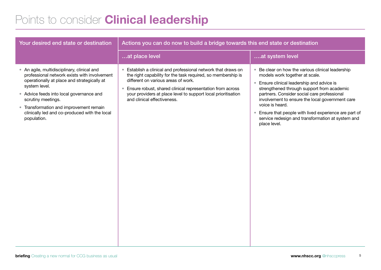## Points to consider **Clinical leadership**

| Your desired end state or destination                                                                                                                                                                                                                                                                                                    | Actions you can do now to build a bridge towards this end state or destination                                                                                                                                                                                                                                                      |                                                                                                                                                                                                                                                                                                                                                                                                                                                                      |  |
|------------------------------------------------------------------------------------------------------------------------------------------------------------------------------------------------------------------------------------------------------------------------------------------------------------------------------------------|-------------------------------------------------------------------------------------------------------------------------------------------------------------------------------------------------------------------------------------------------------------------------------------------------------------------------------------|----------------------------------------------------------------------------------------------------------------------------------------------------------------------------------------------------------------------------------------------------------------------------------------------------------------------------------------------------------------------------------------------------------------------------------------------------------------------|--|
|                                                                                                                                                                                                                                                                                                                                          | at place level                                                                                                                                                                                                                                                                                                                      | at system level                                                                                                                                                                                                                                                                                                                                                                                                                                                      |  |
| • An agile, multidisciplinary, clinical and<br>professional network exists with involvement<br>operationally at place and strategically at<br>system level.<br>• Advice feeds into local governance and<br>scrutiny meetings.<br>• Transformation and improvement remain<br>clinically led and co-produced with the local<br>population. | • Establish a clinical and professional network that draws on<br>the right capability for the task required, so membership is<br>different on various areas of work.<br>• Ensure robust, shared clinical representation from across<br>your providers at place level to support local prioritisation<br>and clinical effectiveness. | Be clear on how the various clinical leadership<br>$\bullet$<br>models work together at scale.<br>Ensure clinical leadership and advice is<br>$\bullet$<br>strengthened through support from academic<br>partners. Consider social care professional<br>involvement to ensure the local government care<br>voice is heard.<br>Ensure that people with lived experience are part of<br>$\bullet$<br>service redesign and transformation at system and<br>place level. |  |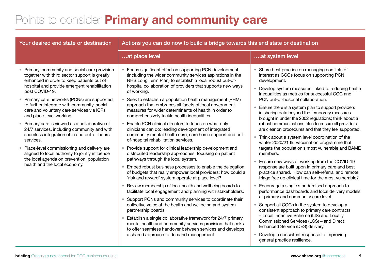## Points to consider **Primary and community care**

| Your desired end state or destination                                                                                                                                                                                                                                                                                                                                                                                                                                                                                                                                                                                                                                                                                                 | Actions you can do now to build a bridge towards this end state or destination                                                                                                                                                                                                                                                                                                                                                                                                                                                                                                                                                                                                                                                                                                                                                                                                                                                                                                                                                                                                                                                                                                                                                                                                                                                                                                                                                                                                                                                                                                                  |                                                                                                                                                                                                                                                                                                                                                                                                                                                                                                                                                                                                                                                                                                                                                                                                                                                                                                                                                                                                                                                                                                                                                                                                                                                                                                                                                                                                                          |
|---------------------------------------------------------------------------------------------------------------------------------------------------------------------------------------------------------------------------------------------------------------------------------------------------------------------------------------------------------------------------------------------------------------------------------------------------------------------------------------------------------------------------------------------------------------------------------------------------------------------------------------------------------------------------------------------------------------------------------------|-------------------------------------------------------------------------------------------------------------------------------------------------------------------------------------------------------------------------------------------------------------------------------------------------------------------------------------------------------------------------------------------------------------------------------------------------------------------------------------------------------------------------------------------------------------------------------------------------------------------------------------------------------------------------------------------------------------------------------------------------------------------------------------------------------------------------------------------------------------------------------------------------------------------------------------------------------------------------------------------------------------------------------------------------------------------------------------------------------------------------------------------------------------------------------------------------------------------------------------------------------------------------------------------------------------------------------------------------------------------------------------------------------------------------------------------------------------------------------------------------------------------------------------------------------------------------------------------------|--------------------------------------------------------------------------------------------------------------------------------------------------------------------------------------------------------------------------------------------------------------------------------------------------------------------------------------------------------------------------------------------------------------------------------------------------------------------------------------------------------------------------------------------------------------------------------------------------------------------------------------------------------------------------------------------------------------------------------------------------------------------------------------------------------------------------------------------------------------------------------------------------------------------------------------------------------------------------------------------------------------------------------------------------------------------------------------------------------------------------------------------------------------------------------------------------------------------------------------------------------------------------------------------------------------------------------------------------------------------------------------------------------------------------|
|                                                                                                                                                                                                                                                                                                                                                                                                                                                                                                                                                                                                                                                                                                                                       | at place level                                                                                                                                                                                                                                                                                                                                                                                                                                                                                                                                                                                                                                                                                                                                                                                                                                                                                                                                                                                                                                                                                                                                                                                                                                                                                                                                                                                                                                                                                                                                                                                  | at system level                                                                                                                                                                                                                                                                                                                                                                                                                                                                                                                                                                                                                                                                                                                                                                                                                                                                                                                                                                                                                                                                                                                                                                                                                                                                                                                                                                                                          |
| • Primary, community and social care provision<br>together with third sector support is greatly<br>enhanced in order to keep patients out of<br>hospital and provide emergent rehabilitation<br>post COVID-19.<br>• Primary care networks (PCNs) are supported<br>to further integrate with community, social<br>care and voluntary care services via ICPs<br>and place-level working.<br>• Primary care is viewed as a collaborative of<br>24/7 services, including community and with<br>seamless integration of in and out-of-hours<br>services.<br>• Place-level commissioning and delivery are<br>aligned to local authority to jointly influence<br>the local agenda on prevention, population<br>health and the local economy. | • Focus significant effort on supporting PCN development<br>(including the wider community services aspirations in the<br>NHS Long Term Plan) to establish a local robust out-of-<br>hospital collaboration of providers that supports new ways<br>of working.<br>• Seek to establish a population health management (PHM)<br>approach that embraces all facets of local government<br>measures for wider determinants of health in order to<br>comprehensively tackle health inequalities.<br>Enable PCN clinical directors to focus on what only<br>clinicians can do: leading development of integrated<br>community mental health care, care home support and out-<br>of-hospital rehabilitation services.<br>Provide support for clinical leadership development and<br>distributed leadership approaches, focusing on patient<br>pathways through the local system.<br>Embed robust business processes to enable the delegation<br>of budgets that really empower local providers; how could a<br>'risk and reward' system operate at place level?<br>Review membership of local health and wellbeing boards to<br>$\bullet$<br>facilitate local engagement and planning with stakeholders.<br>Support PCNs and community services to coordinate their<br>collective voice at the health and wellbeing and system<br>partnership boards.<br>Establish a single collaborative framework for 24/7 primary,<br>$\bullet$<br>mental health and community services provision that seeks<br>to offer seamless handover between services and develops<br>a shared approach to demand management. | Share best practice on managing conflicts of<br>$\qquad \qquad \bullet$<br>interest as CCGs focus on supporting PCN<br>development.<br>Develop system measures linked to reducing health<br>inequalities as metrics for successful CCG and<br>PCN out-of-hospital collaboration.<br>Ensure there is a system plan to support providers<br>in sharing data beyond the temporary measures<br>brought in under the 2002 regulations; think about a<br>robust communications plan to ensure all providers<br>are clear on procedures and that they feel supported.<br>Think about a system level coordination of the<br>$\bullet$<br>winter 2020/21 flu vaccination programme that<br>targets the population's most vulnerable and BAME<br>members.<br>Ensure new ways of working from the COVID-19<br>response are built upon in primary care and best<br>practice shared. How can self-referral and remote<br>triage free up clinical time for the most vulnerable?<br>Encourage a single standardised approach to<br>performance dashboards and local delivery models<br>at primary and community care level.<br>Support all CCGs in the system to develop a<br>consistent approach to primary care contracts<br>- Local Incentive Scheme (LIS) and Locally<br>Commissioned Services (LCS) - and Direct<br>Enhanced Service (DES) delivery.<br>Develop a consistent response to improving<br>general practice resilience. |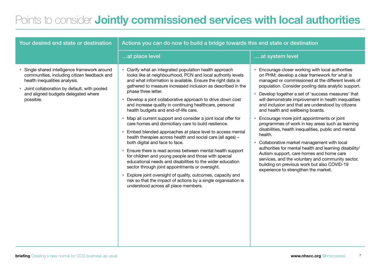#### Points to consider Jointly commissioned services with local authorities

| Your desired end state or destination                                                                                                                                                                                          | Actions you can do now to build a bridge towards this end state or destination                                                                                                                                                                                                                                                                                                                                                                                                                                                                                                                                                                                                                                                                                                                                                                                                                                                                                                                                                                                                                                                                    |                                                                                                                                                                                                                                                                                                                                                                                                                                                                                                                                                                                                                                                                                                                                                                                                                                                                                                                                |  |
|--------------------------------------------------------------------------------------------------------------------------------------------------------------------------------------------------------------------------------|---------------------------------------------------------------------------------------------------------------------------------------------------------------------------------------------------------------------------------------------------------------------------------------------------------------------------------------------------------------------------------------------------------------------------------------------------------------------------------------------------------------------------------------------------------------------------------------------------------------------------------------------------------------------------------------------------------------------------------------------------------------------------------------------------------------------------------------------------------------------------------------------------------------------------------------------------------------------------------------------------------------------------------------------------------------------------------------------------------------------------------------------------|--------------------------------------------------------------------------------------------------------------------------------------------------------------------------------------------------------------------------------------------------------------------------------------------------------------------------------------------------------------------------------------------------------------------------------------------------------------------------------------------------------------------------------------------------------------------------------------------------------------------------------------------------------------------------------------------------------------------------------------------------------------------------------------------------------------------------------------------------------------------------------------------------------------------------------|--|
|                                                                                                                                                                                                                                | at place level                                                                                                                                                                                                                                                                                                                                                                                                                                                                                                                                                                                                                                                                                                                                                                                                                                                                                                                                                                                                                                                                                                                                    | at system level                                                                                                                                                                                                                                                                                                                                                                                                                                                                                                                                                                                                                                                                                                                                                                                                                                                                                                                |  |
| Single shared intelligence framework around<br>communities, including citizen feedback and<br>health inequalities analysis.<br>Joint collaboration by default, with pooled<br>and aligned budgets delegated where<br>possible. | • Clarify what an integrated population health approach<br>looks like at neighbourhood, PCN and local authority levels<br>and what information is available. Ensure the right data is<br>gathered to measure increased inclusion as described in the<br>phase three letter.<br>Develop a joint collaborative approach to drive down cost<br>and increase quality in continuing healthcare, personal<br>health budgets and end-of-life care.<br>• Map all current support and consider a joint local offer for<br>care homes and domiciliary care to build resilience.<br>Embed blended approaches at place level to access mental<br>health therapies across health and social care (all ages) -<br>both digital and face to face.<br>• Ensure there is read across between mental health support<br>for children and young people and those with special<br>educational needs and disabilities to the wider education<br>sector through joint appointments or oversight.<br>Explore joint oversight of quality, outcomes, capacity and<br>risk so that the impact of actions by a single organisation is<br>understood across all place members. | Encourage closer working with local authorities<br>on PHM; develop a clear framework for what is<br>managed or commissioned at the different levels of<br>population. Consider pooling data analytic support.<br>Develop together a set of 'success measures' that<br>$\bullet$<br>will demonstrate improvement in health inequalities<br>and inclusion and that are understood by citizens<br>and health and wellbeing boards.<br>Encourage more joint appointments or joint<br>$\bullet$<br>programmes of work in key areas such as learning<br>disabilities, health inequalities, public and mental<br>health.<br>Collaborative market management with local<br>$\bullet$<br>authorities for mental health and learning disability/<br>Autism support, care homes and home care<br>services, and the voluntary and community sector,<br>building on previous work but also COVID-19<br>experience to strengthen the market. |  |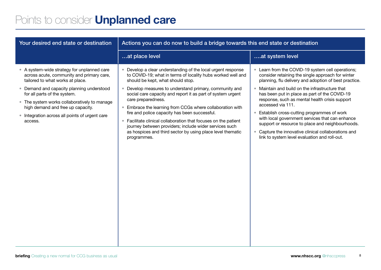## Points to consider Unplanned care

| Your desired end state or destination                                                                                                                                                                                                                                                                                                                       | Actions you can do now to build a bridge towards this end state or destination                                                                                                                                                                                                                                                                                                                                                                                                                                                                                                                                                           |                                                                                                                                                                                                                                                                                                                                                                                                                                                                                                                                                                                                    |  |
|-------------------------------------------------------------------------------------------------------------------------------------------------------------------------------------------------------------------------------------------------------------------------------------------------------------------------------------------------------------|------------------------------------------------------------------------------------------------------------------------------------------------------------------------------------------------------------------------------------------------------------------------------------------------------------------------------------------------------------------------------------------------------------------------------------------------------------------------------------------------------------------------------------------------------------------------------------------------------------------------------------------|----------------------------------------------------------------------------------------------------------------------------------------------------------------------------------------------------------------------------------------------------------------------------------------------------------------------------------------------------------------------------------------------------------------------------------------------------------------------------------------------------------------------------------------------------------------------------------------------------|--|
|                                                                                                                                                                                                                                                                                                                                                             | at place level                                                                                                                                                                                                                                                                                                                                                                                                                                                                                                                                                                                                                           | at system level                                                                                                                                                                                                                                                                                                                                                                                                                                                                                                                                                                                    |  |
| • A system-wide strategy for unplanned care<br>across acute, community and primary care,<br>tailored to what works at place.<br>• Demand and capacity planning understood<br>for all parts of the system.<br>• The system works collaboratively to manage<br>high demand and free up capacity.<br>• Integration across all points of urgent care<br>access. | • Develop a clear understanding of the local urgent response<br>to COVID-19; what in terms of locality hubs worked well and<br>should be kept, what should stop.<br>• Develop measures to understand primary, community and<br>social care capacity and report it as part of system urgent<br>care preparedness.<br>• Embrace the learning from CCGs where collaboration with<br>fire and police capacity has been successful.<br>• Facilitate clinical collaboration that focuses on the patient<br>journey between providers; include wider services such<br>as hospices and third sector by using place level thematic<br>programmes. | Learn from the COVID-19 system cell operations;<br>consider retaining the single approach for winter<br>planning, flu delivery and adoption of best practice.<br>Maintain and build on the infrastructure that<br>has been put in place as part of the COVID-19<br>response, such as mental health crisis support<br>accessed via 111.<br>Establish cross-cutting programmes of work<br>with local government services that can enhance<br>support or resource to place and neighbourhoods.<br>Capture the innovative clinical collaborations and<br>link to system level evaluation and roll-out. |  |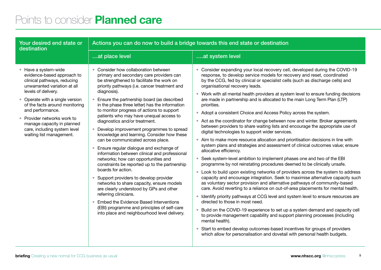#### Points to consider **Planned care**

| Your desired end state or<br>destination                                                                                                                                                                                                                                                                                                                   | Actions you can do now to build a bridge towards this end state or destination                                                                                                                                                                                                                                                                                                                                                                                                                                                                                                                                                                                                                                                                                                                                                                                                                                                                                                                                                                                                                                  |                                                                                                                                                                                                                                                                                                                                                                                                                                                                                                                                                                                                                                                                                                                                                                                                                                                                                                                                                                                                                                                                                                                                                                                                                                                                                                                                                                                                                                                                                                                                                                                                                                                                                                                                                                                                                                                                                                                            |  |
|------------------------------------------------------------------------------------------------------------------------------------------------------------------------------------------------------------------------------------------------------------------------------------------------------------------------------------------------------------|-----------------------------------------------------------------------------------------------------------------------------------------------------------------------------------------------------------------------------------------------------------------------------------------------------------------------------------------------------------------------------------------------------------------------------------------------------------------------------------------------------------------------------------------------------------------------------------------------------------------------------------------------------------------------------------------------------------------------------------------------------------------------------------------------------------------------------------------------------------------------------------------------------------------------------------------------------------------------------------------------------------------------------------------------------------------------------------------------------------------|----------------------------------------------------------------------------------------------------------------------------------------------------------------------------------------------------------------------------------------------------------------------------------------------------------------------------------------------------------------------------------------------------------------------------------------------------------------------------------------------------------------------------------------------------------------------------------------------------------------------------------------------------------------------------------------------------------------------------------------------------------------------------------------------------------------------------------------------------------------------------------------------------------------------------------------------------------------------------------------------------------------------------------------------------------------------------------------------------------------------------------------------------------------------------------------------------------------------------------------------------------------------------------------------------------------------------------------------------------------------------------------------------------------------------------------------------------------------------------------------------------------------------------------------------------------------------------------------------------------------------------------------------------------------------------------------------------------------------------------------------------------------------------------------------------------------------------------------------------------------------------------------------------------------------|--|
|                                                                                                                                                                                                                                                                                                                                                            | at place level                                                                                                                                                                                                                                                                                                                                                                                                                                                                                                                                                                                                                                                                                                                                                                                                                                                                                                                                                                                                                                                                                                  | at system level                                                                                                                                                                                                                                                                                                                                                                                                                                                                                                                                                                                                                                                                                                                                                                                                                                                                                                                                                                                                                                                                                                                                                                                                                                                                                                                                                                                                                                                                                                                                                                                                                                                                                                                                                                                                                                                                                                            |  |
| • Have a system-wide<br>evidence-based approach to<br>clinical pathways, reducing<br>unwarranted variation at all<br>levels of delivery.<br>• Operate with a single version<br>of the facts around monitoring<br>and performance.<br>• Provider networks work to<br>manage capacity in planned<br>care, including system level<br>waiting list management. | • Consider how collaboration between<br>primary and secondary care providers can<br>be strengthened to facilitate the work on<br>priority pathways (i.e. cancer treatment and<br>diagnosis).<br>Ensure the partnership board (as described<br>in the phase three letter) has the information<br>to monitor progress of actions to support<br>patients who may have unequal access to<br>diagnostics and/or treatment.<br>Develop improvement programmes to spread<br>$\bullet$<br>knowledge and learning. Consider how these<br>can be communicated across place.<br>Ensure regular dialogue and exchange of<br>information between clinical and professional<br>networks; how can opportunities and<br>constraints be reported up to the partnership<br>boards for action.<br>Support providers to develop provider<br>$\bullet$<br>networks to share capacity, ensure models<br>are clearly understood by GPs and other<br>referring clinicians.<br><b>Embed the Evidence Based Interventions</b><br>$\bullet$<br>(EBI) programme and principles of self-care<br>into place and neighbourhood level delivery. | • Consider expanding your local recovery cell, developed during the COVID-19<br>response, to develop service models for recovery and reset, coordinated<br>by the CCG, fed by clinical or specialist cells (such as discharge cells) and<br>organisational recovery leads.<br>• Work with all mental health providers at system level to ensure funding decisions<br>are made in partnership and is allocated to the main Long Term Plan (LTP)<br>priorities.<br>• Adopt a consistent Choice and Access Policy across the system.<br>• Act as the coordinator for change between now and winter. Broker agreements<br>between providers to share waiting lists and encourage the appropriate use of<br>digital technologies to support wider services.<br>• Aim to make more resource allocation and prioritisation decisions in line with<br>system plans and strategies and assessment of clinical outcomes value; ensure<br>allocative efficiency.<br>• Seek system-level ambition to implement phases one and two of the EBI<br>programme by not reinstating procedures deemed to be clinically unsafe.<br>• Look to build upon existing networks of providers across the system to address<br>capacity and encourage integration. Seek to maximise alternative capacity such<br>as voluntary sector provision and alternative pathways of community-based<br>care. Avoid reverting to a reliance on out-of-area placements for mental health.<br>• Identify priority pathways at CCG level and system level to ensure resources are<br>directed to those in most need.<br>• Build on the COVID-19 experience to set up a system demand and capacity cell<br>to provide management capability and support planning processes (including<br>mental health).<br>• Start to embed develop outcomes-based incentives for groups of providers<br>which allow for personalisation and dovetail with personal health budgets. |  |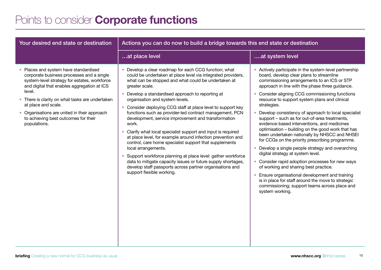#### Points to consider **Corporate functions**

| Your desired end state or destination                                                                                                                                                                                                                                                                                                                                       | Actions you can do now to build a bridge towards this end state or destination                                                                                                                                                                                                                                                                                                                                                                                                                                                                                                                                                                                                                                                                                                                                                                                                                                             |                                                                                                                                                                                                                                                                                                                                                                                                                                                                                                                                                                                                                                                                                                                                                                                                                                                                                                                                                                                                       |  |
|-----------------------------------------------------------------------------------------------------------------------------------------------------------------------------------------------------------------------------------------------------------------------------------------------------------------------------------------------------------------------------|----------------------------------------------------------------------------------------------------------------------------------------------------------------------------------------------------------------------------------------------------------------------------------------------------------------------------------------------------------------------------------------------------------------------------------------------------------------------------------------------------------------------------------------------------------------------------------------------------------------------------------------------------------------------------------------------------------------------------------------------------------------------------------------------------------------------------------------------------------------------------------------------------------------------------|-------------------------------------------------------------------------------------------------------------------------------------------------------------------------------------------------------------------------------------------------------------------------------------------------------------------------------------------------------------------------------------------------------------------------------------------------------------------------------------------------------------------------------------------------------------------------------------------------------------------------------------------------------------------------------------------------------------------------------------------------------------------------------------------------------------------------------------------------------------------------------------------------------------------------------------------------------------------------------------------------------|--|
|                                                                                                                                                                                                                                                                                                                                                                             | at place level                                                                                                                                                                                                                                                                                                                                                                                                                                                                                                                                                                                                                                                                                                                                                                                                                                                                                                             | at system level                                                                                                                                                                                                                                                                                                                                                                                                                                                                                                                                                                                                                                                                                                                                                                                                                                                                                                                                                                                       |  |
| Places and system have standardised<br>corporate business processes and a single<br>system-level strategy for estates, workforce<br>and digital that enables aggregation at ICS<br>level.<br>• There is clarity on what tasks are undertaken<br>at place and scale.<br>• Organisations are united in their approach<br>to achieving best outcomes for their<br>populations. | • Develop a clear roadmap for each CCG function; what<br>could be undertaken at place level via integrated providers,<br>what can be stopped and what could be undertaken at<br>greater scale.<br>• Develop a standardised approach to reporting at<br>organisation and system levels.<br>• Consider deploying CCG staff at place level to support key<br>functions such as provider-led contract management, PCN<br>development, service improvement and transformation<br>work.<br>• Clarify what local specialist support and input is required<br>at place level, for example around infection prevention and<br>control, care home specialist support that supplements<br>local arrangements.<br>Support workforce planning at place level: gather workforce<br>data to mitigate capacity issues or future supply shortages,<br>develop staff passports across partner organisations and<br>support flexible working. | Actively participate in the system-level partnership<br>board, develop clear plans to streamline<br>commissioning arrangements to an ICS or STP<br>approach in line with the phase three guidance.<br>Consider aligning CCG commissioning functions<br>resource to support system plans and clinical<br>strategies.<br>Develop consistency of approach to local specialist<br>support - such as for out-of-area treatments,<br>evidence-based interventions, and medicines<br>optimisation - building on the good work that has<br>been undertaken nationally by NHSCC and NHSEI<br>for CCGs on the priority prescribing programme.<br>Develop a single people strategy and overarching<br>digital strategy at system level.<br>• Consider rapid adoption processes for new ways<br>of working and sharing best practice.<br>Ensure organisational development and training<br>is in place for staff around the move to strategic<br>commissioning; support teams across place and<br>system working. |  |